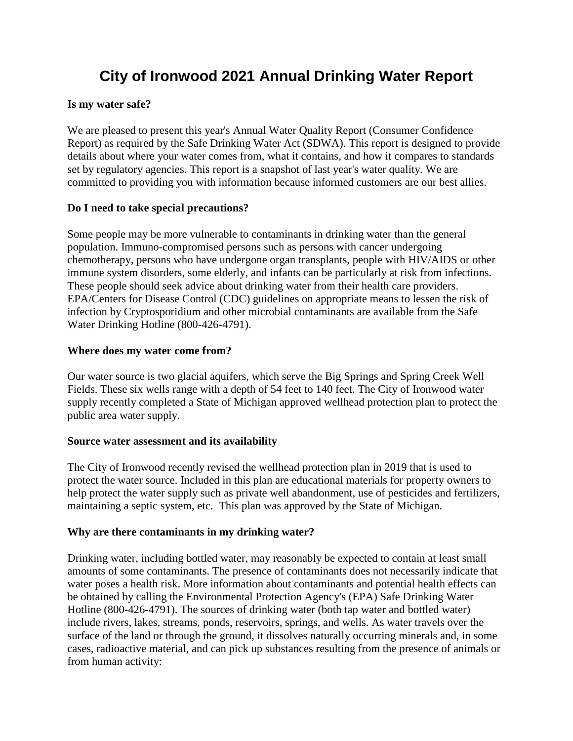## **City of Ironwood 2021 Annual Drinking Water Report**

#### **Is my water safe?**

We are pleased to present this year's Annual Water Quality Report (Consumer Confidence Report) as required by the Safe Drinking Water Act (SDWA). This report is designed to provide details about where your water comes from, what it contains, and how it compares to standards set by regulatory agencies. This report is a snapshot of last year's water quality. We are committed to providing you with information because informed customers are our best allies.

#### **Do I need to take special precautions?**

Some people may be more vulnerable to contaminants in drinking water than the general population. Immuno-compromised persons such as persons with cancer undergoing chemotherapy, persons who have undergone organ transplants, people with HIV/AIDS or other immune system disorders, some elderly, and infants can be particularly at risk from infections. These people should seek advice about drinking water from their health care providers. EPA/Centers for Disease Control (CDC) guidelines on appropriate means to lessen the risk of infection by Cryptosporidium and other microbial contaminants are available from the Safe Water Drinking Hotline (800-426-4791).

#### **Where does my water come from?**

Our water source is two glacial aquifers, which serve the Big Springs and Spring Creek Well Fields. These six wells range with a depth of 54 feet to 140 feet. The City of Ironwood water supply recently completed a State of Michigan approved wellhead protection plan to protect the public area water supply.

#### **Source water assessment and its availability**

The City of Ironwood recently revised the wellhead protection plan in 2019 that is used to protect the water source. Included in this plan are educational materials for property owners to help protect the water supply such as private well abandonment, use of pesticides and fertilizers, maintaining a septic system, etc. This plan was approved by the State of Michigan.

#### **Why are there contaminants in my drinking water?**

Drinking water, including bottled water, may reasonably be expected to contain at least small amounts of some contaminants. The presence of contaminants does not necessarily indicate that water poses a health risk. More information about contaminants and potential health effects can be obtained by calling the Environmental Protection Agency's (EPA) Safe Drinking Water Hotline (800-426-4791). The sources of drinking water (both tap water and bottled water) include rivers, lakes, streams, ponds, reservoirs, springs, and wells. As water travels over the surface of the land or through the ground, it dissolves naturally occurring minerals and, in some cases, radioactive material, and can pick up substances resulting from the presence of animals or from human activity: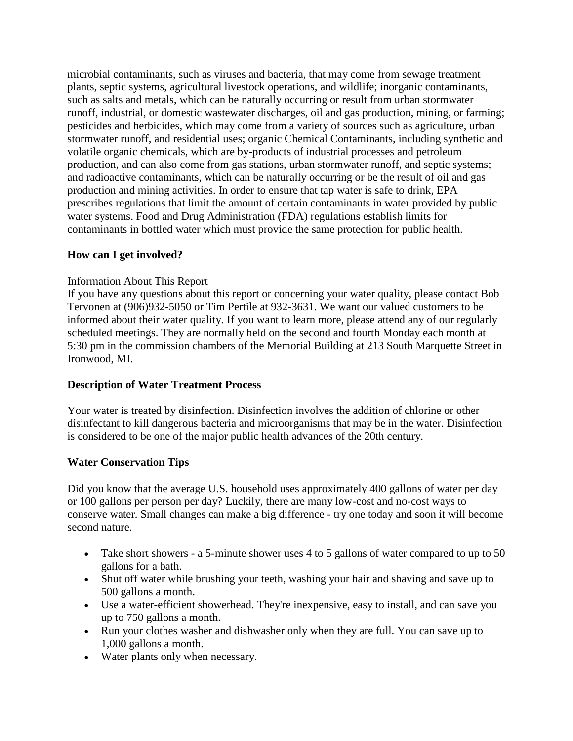microbial contaminants, such as viruses and bacteria, that may come from sewage treatment plants, septic systems, agricultural livestock operations, and wildlife; inorganic contaminants, such as salts and metals, which can be naturally occurring or result from urban stormwater runoff, industrial, or domestic wastewater discharges, oil and gas production, mining, or farming; pesticides and herbicides, which may come from a variety of sources such as agriculture, urban stormwater runoff, and residential uses; organic Chemical Contaminants, including synthetic and volatile organic chemicals, which are by-products of industrial processes and petroleum production, and can also come from gas stations, urban stormwater runoff, and septic systems; and radioactive contaminants, which can be naturally occurring or be the result of oil and gas production and mining activities. In order to ensure that tap water is safe to drink, EPA prescribes regulations that limit the amount of certain contaminants in water provided by public water systems. Food and Drug Administration (FDA) regulations establish limits for contaminants in bottled water which must provide the same protection for public health.

## **How can I get involved?**

#### Information About This Report

If you have any questions about this report or concerning your water quality, please contact Bob Tervonen at (906)932-5050 or Tim Pertile at 932-3631. We want our valued customers to be informed about their water quality. If you want to learn more, please attend any of our regularly scheduled meetings. They are normally held on the second and fourth Monday each month at 5:30 pm in the commission chambers of the Memorial Building at 213 South Marquette Street in Ironwood, MI.

#### **Description of Water Treatment Process**

Your water is treated by disinfection. Disinfection involves the addition of chlorine or other disinfectant to kill dangerous bacteria and microorganisms that may be in the water. Disinfection is considered to be one of the major public health advances of the 20th century.

#### **Water Conservation Tips**

Did you know that the average U.S. household uses approximately 400 gallons of water per day or 100 gallons per person per day? Luckily, there are many low-cost and no-cost ways to conserve water. Small changes can make a big difference - try one today and soon it will become second nature.

- Take short showers a 5-minute shower uses 4 to 5 gallons of water compared to up to 50 gallons for a bath.
- Shut off water while brushing your teeth, washing your hair and shaving and save up to 500 gallons a month.
- Use a water-efficient showerhead. They're inexpensive, easy to install, and can save you up to 750 gallons a month.
- Run your clothes washer and dishwasher only when they are full. You can save up to 1,000 gallons a month.
- Water plants only when necessary.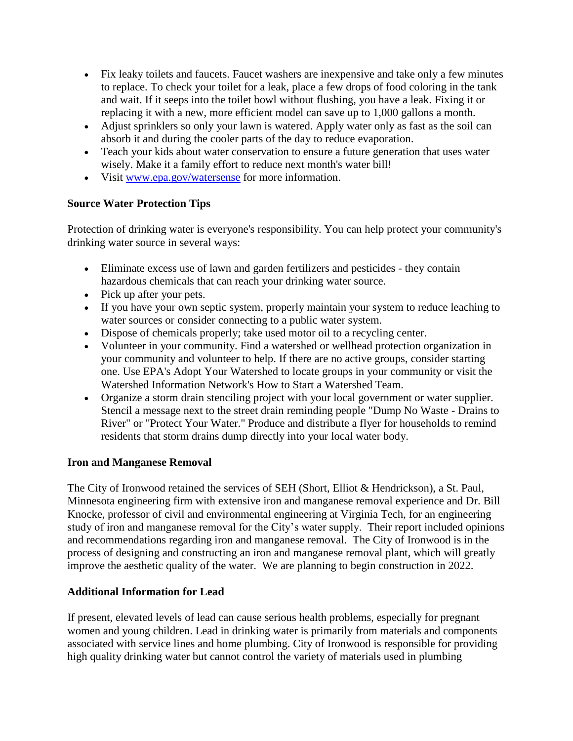- Fix leaky toilets and faucets. Faucet washers are inexpensive and take only a few minutes to replace. To check your toilet for a leak, place a few drops of food coloring in the tank and wait. If it seeps into the toilet bowl without flushing, you have a leak. Fixing it or replacing it with a new, more efficient model can save up to 1,000 gallons a month.
- Adjust sprinklers so only your lawn is watered. Apply water only as fast as the soil can absorb it and during the cooler parts of the day to reduce evaporation.
- Teach your kids about water conservation to ensure a future generation that uses water wisely. Make it a family effort to reduce next month's water bill!
- Visit [www.epa.gov/watersense](http://www.epa.gov/watersense) for more information.

## **Source Water Protection Tips**

Protection of drinking water is everyone's responsibility. You can help protect your community's drinking water source in several ways:

- Eliminate excess use of lawn and garden fertilizers and pesticides they contain hazardous chemicals that can reach your drinking water source.
- Pick up after your pets.
- If you have your own septic system, properly maintain your system to reduce leaching to water sources or consider connecting to a public water system.
- Dispose of chemicals properly; take used motor oil to a recycling center.
- Volunteer in your community. Find a watershed or wellhead protection organization in your community and volunteer to help. If there are no active groups, consider starting one. Use EPA's Adopt Your Watershed to locate groups in your community or visit the Watershed Information Network's How to Start a Watershed Team.
- Organize a storm drain stenciling project with your local government or water supplier. Stencil a message next to the street drain reminding people "Dump No Waste - Drains to River" or "Protect Your Water." Produce and distribute a flyer for households to remind residents that storm drains dump directly into your local water body.

## **Iron and Manganese Removal**

The City of Ironwood retained the services of SEH (Short, Elliot & Hendrickson), a St. Paul, Minnesota engineering firm with extensive iron and manganese removal experience and Dr. Bill Knocke, professor of civil and environmental engineering at Virginia Tech, for an engineering study of iron and manganese removal for the City's water supply. Their report included opinions and recommendations regarding iron and manganese removal. The City of Ironwood is in the process of designing and constructing an iron and manganese removal plant, which will greatly improve the aesthetic quality of the water.We are planning to begin construction in 2022.

## **Additional Information for Lead**

If present, elevated levels of lead can cause serious health problems, especially for pregnant women and young children. Lead in drinking water is primarily from materials and components associated with service lines and home plumbing. City of Ironwood is responsible for providing high quality drinking water but cannot control the variety of materials used in plumbing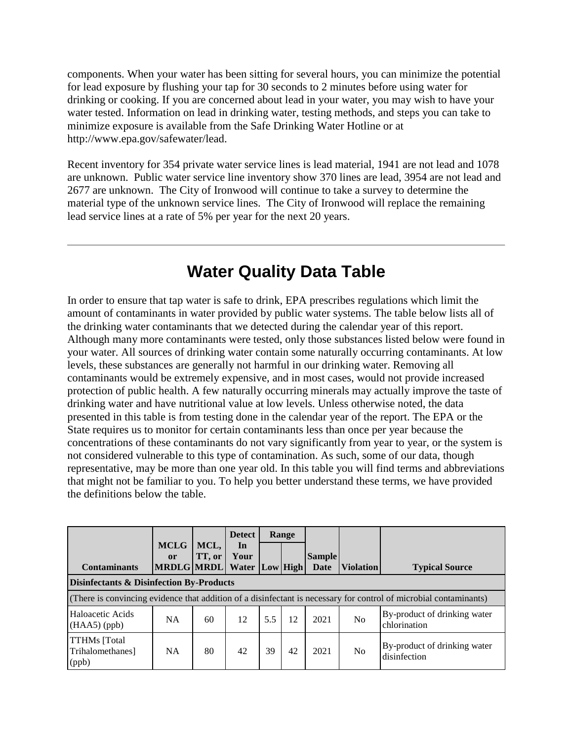components. When your water has been sitting for several hours, you can minimize the potential for lead exposure by flushing your tap for 30 seconds to 2 minutes before using water for drinking or cooking. If you are concerned about lead in your water, you may wish to have your water tested. Information on lead in drinking water, testing methods, and steps you can take to minimize exposure is available from the Safe Drinking Water Hotline or at http://www.epa.gov/safewater/lead.

Recent inventory for 354 private water service lines is lead material, 1941 are not lead and 1078 are unknown. Public water service line inventory show 370 lines are lead, 3954 are not lead and 2677 are unknown. The City of Ironwood will continue to take a survey to determine the material type of the unknown service lines. The City of Ironwood will replace the remaining lead service lines at a rate of 5% per year for the next 20 years.

# **Water Quality Data Table**

In order to ensure that tap water is safe to drink, EPA prescribes regulations which limit the amount of contaminants in water provided by public water systems. The table below lists all of the drinking water contaminants that we detected during the calendar year of this report. Although many more contaminants were tested, only those substances listed below were found in your water. All sources of drinking water contain some naturally occurring contaminants. At low levels, these substances are generally not harmful in our drinking water. Removing all contaminants would be extremely expensive, and in most cases, would not provide increased protection of public health. A few naturally occurring minerals may actually improve the taste of drinking water and have nutritional value at low levels. Unless otherwise noted, the data presented in this table is from testing done in the calendar year of the report. The EPA or the State requires us to monitor for certain contaminants less than once per year because the concentrations of these contaminants do not vary significantly from year to year, or the system is not considered vulnerable to this type of contamination. As such, some of our data, though representative, may be more than one year old. In this table you will find terms and abbreviations that might not be familiar to you. To help you better understand these terms, we have provided the definitions below the table.

|                                                     |                                        |                | <b>Detect</b>       |     | <b>Range</b> |                       |                  |                                                                                                                   |  |
|-----------------------------------------------------|----------------------------------------|----------------|---------------------|-----|--------------|-----------------------|------------------|-------------------------------------------------------------------------------------------------------------------|--|
| <b>Contaminants</b>                                 | <b>MCLG</b><br>or<br><b>MRDLG MRDL</b> | MCL,<br>TT, or | In<br>Your<br>Water |     | Low   High   | <b>Sample</b><br>Date | <b>Violation</b> | <b>Typical Source</b>                                                                                             |  |
| <b>Disinfectants &amp; Disinfection By-Products</b> |                                        |                |                     |     |              |                       |                  |                                                                                                                   |  |
|                                                     |                                        |                |                     |     |              |                       |                  | (There is convincing evidence that addition of a disinfectant is necessary for control of microbial contaminants) |  |
| Haloacetic Acids<br>$(HAA5)$ (ppb)                  | <b>NA</b>                              | 60             | 12                  | 5.5 | 12           | 2021                  | No.              | By-product of drinking water<br>chlorination                                                                      |  |
| <b>TTHMs</b> [Total]<br>Trihalomethanes]<br>(ppb)   | <b>NA</b>                              | 80             | 42                  | 39  | 42           | 2021                  | N <sub>0</sub>   | By-product of drinking water<br>disinfection                                                                      |  |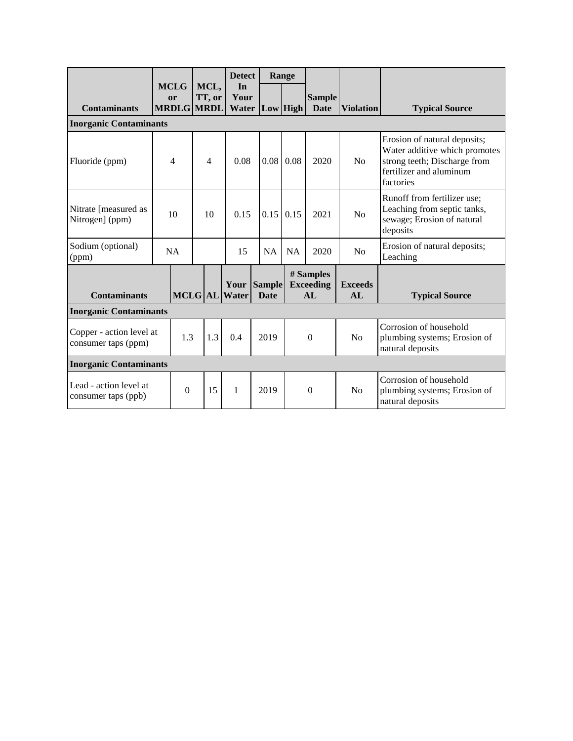|                                                 |                | <b>MCLG</b>                        |  | MCL,           | <b>Detect</b><br>In |                              | Range     |                |                                     |                      |                                                                                                                                       |
|-------------------------------------------------|----------------|------------------------------------|--|----------------|---------------------|------------------------------|-----------|----------------|-------------------------------------|----------------------|---------------------------------------------------------------------------------------------------------------------------------------|
| <b>Contaminants</b>                             |                | <sub>or</sub><br><b>MRDLG MRDL</b> |  | TT, or         | Your<br>Water       |                              |           | Low High       | <b>Sample</b><br><b>Date</b>        | <b>Violation</b>     | <b>Typical Source</b>                                                                                                                 |
| <b>Inorganic Contaminants</b>                   |                |                                    |  |                |                     |                              |           |                |                                     |                      |                                                                                                                                       |
| Fluoride (ppm)                                  |                | $\overline{4}$                     |  | $\overline{4}$ | 0.08                |                              | 0.08      | 0.08           | 2020                                | No                   | Erosion of natural deposits;<br>Water additive which promotes<br>strong teeth; Discharge from<br>fertilizer and aluminum<br>factories |
| Nitrate [measured as<br>Nitrogen] (ppm)         |                | 10<br>10                           |  |                | 0.15                |                              | 0.15      | 0.15           | 2021                                | No                   | Runoff from fertilizer use:<br>Leaching from septic tanks,<br>sewage; Erosion of natural<br>deposits                                  |
| Sodium (optional)<br>(ppm)                      |                | <b>NA</b>                          |  |                | 15                  |                              | <b>NA</b> | <b>NA</b>      | 2020                                | N <sub>0</sub>       | Erosion of natural deposits;<br>Leaching                                                                                              |
| <b>Contaminants</b>                             | <b>MCLG</b> AL |                                    |  |                | Your<br>Water       | <b>Sample</b><br><b>Date</b> |           |                | # Samples<br><b>Exceeding</b><br>AL | <b>Exceeds</b><br>AL | <b>Typical Source</b>                                                                                                                 |
| <b>Inorganic Contaminants</b>                   |                |                                    |  |                |                     |                              |           |                |                                     |                      |                                                                                                                                       |
| Copper - action level at<br>consumer taps (ppm) | 1.3            |                                    |  | 1.3            | 0.4                 | 2019                         |           | $\overline{0}$ |                                     | No                   | Corrosion of household<br>plumbing systems; Erosion of<br>natural deposits                                                            |
| <b>Inorganic Contaminants</b>                   |                |                                    |  |                |                     |                              |           |                |                                     |                      |                                                                                                                                       |
| Lead - action level at<br>consumer taps (ppb)   |                | $\theta$                           |  | 15             | $\mathbf{1}$        | 2019                         |           |                | $\theta$                            | No                   | Corrosion of household<br>plumbing systems; Erosion of<br>natural deposits                                                            |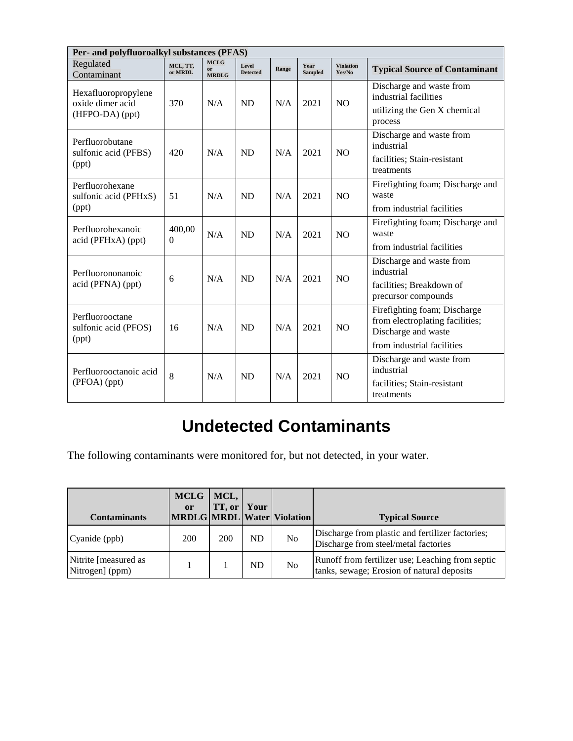| Per- and polyfluoroalkyl substances (PFAS)                 |                     |                                   |                          |       |                        |                            |                                                                                                                      |  |
|------------------------------------------------------------|---------------------|-----------------------------------|--------------------------|-------|------------------------|----------------------------|----------------------------------------------------------------------------------------------------------------------|--|
| Regulated<br>Contaminant                                   | MCL, TT,<br>or MRDL | <b>MCLG</b><br>or<br><b>MRDLG</b> | Level<br><b>Detected</b> | Range | Year<br><b>Sampled</b> | <b>Violation</b><br>Yes/No | <b>Typical Source of Contaminant</b>                                                                                 |  |
| Hexafluoropropylene<br>oxide dimer acid<br>(HFPO-DA) (ppt) | 370                 | N/A                               | <b>ND</b>                | N/A   | 2021                   | N <sub>O</sub>             | Discharge and waste from<br>industrial facilities<br>utilizing the Gen X chemical<br>process                         |  |
| Perfluorobutane<br>sulfonic acid (PFBS)<br>(ppt)           | 420                 | N/A                               | <b>ND</b>                | N/A   | 2021                   | N <sub>O</sub>             | Discharge and waste from<br>industrial<br>facilities; Stain-resistant<br>treatments                                  |  |
| Perfluorohexane<br>sulfonic acid (PFHxS)<br>(ppt)          | 51                  | N/A                               | <b>ND</b>                | N/A   | 2021                   | <b>NO</b>                  | Firefighting foam; Discharge and<br>waste<br>from industrial facilities                                              |  |
| Perfluorohexanoic<br>acid (PFHxA) (ppt)                    | 400,00<br>$\Omega$  | N/A                               | <b>ND</b>                | N/A   | 2021                   | <b>NO</b>                  | Firefighting foam; Discharge and<br>waste<br>from industrial facilities                                              |  |
| Perfluorononanoic<br>acid (PFNA) (ppt)                     | 6                   | N/A                               | <b>ND</b>                | N/A   | 2021                   | NO                         | Discharge and waste from<br>industrial<br>facilities; Breakdown of<br>precursor compounds                            |  |
| Perfluorooctane<br>sulfonic acid (PFOS)<br>(ppt)           | 16                  | N/A                               | <b>ND</b>                | N/A   | 2021                   | N <sub>O</sub>             | Firefighting foam; Discharge<br>from electroplating facilities;<br>Discharge and waste<br>from industrial facilities |  |
| Perfluorooctanoic acid<br>(PFOA)(ppt)                      | 8                   | N/A                               | <b>ND</b>                | N/A   | 2021                   | N <sub>O</sub>             | Discharge and waste from<br>industrial<br>facilities; Stain-resistant<br>treatments                                  |  |

# **Undetected Contaminants**

The following contaminants were monitored for, but not detected, in your water.

| <b>Contaminants</b>                     | <b>MCLG</b><br><sub>or</sub> | MCL,<br>TT, or | Your | MRDLG   MRDL   Water   Violation | <b>Typical Source</b>                                                                          |
|-----------------------------------------|------------------------------|----------------|------|----------------------------------|------------------------------------------------------------------------------------------------|
| Cyanide (ppb)                           | 200                          | 200            | ND   | N <sub>0</sub>                   | Discharge from plastic and fertilizer factories;<br>Discharge from steel/metal factories       |
| Nitrite [measured as<br>Nitrogen] (ppm) |                              |                | ND   | N <sub>0</sub>                   | Runoff from fertilizer use; Leaching from septic<br>tanks, sewage; Erosion of natural deposits |